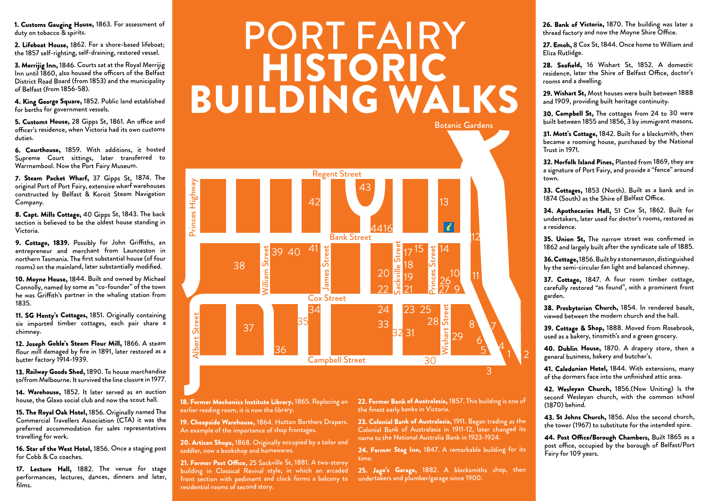1. Customs Gauging House, 1863. For assessment of duty on tobacco & spirits.

2. Lifeboat House, 1862. For a shore-based lifeboat; the 1857 self-righting, self-draining, restored vessel.

3. Merrijig Inn, 1846. Courts sat at the Royal Merrijig Inn until 1860, also housed the officers of the Belfast District Road Board (from 1853) and the municipality of Belfast (from 1856-58).

4. King George Square, 1852. Public land established for berths for government vessels.

5. Customs House, 28 Gipps St, 1861. An office and officer's residence, when Victoria had its own customs duties.

6. Courthouse, 1859. With additions, it hosted Supreme Court sittings, later transferred to Warrnambool. Now the Port Fairy Museum.

7. Steam Packet Wharf, 37 Gipps St, 1874. The original Port of Port Fairy, extensive wharf warehouses constructed by Belfast & Koroit Steam Navigation Company.

8. Capt. Mills Cottage, 40 Gipps St, 1843. The back section is believed to be the oldest house standing in Victoria.

9. Cottage, 1839. Possibly for John Griffiths, an entrepreneur and merchant from Launceston in northern Tasmania. The first substantial house (of four rooms) on the mainland, later substantially modified.

10. Moyne House, 1844. Built and owned by Michael Connolly, named by some as "co-founder" of the town he was Griffith's partner in the whaling station from 1835.

11. SG Henty's Cottages, 1851. Originally containing six imported timber cottages, each pair share a chimney.

12. Joseph Goble's Steam Flour Mill, 1866. A steam flour mill damaged by fire in 1891, later restored as a butter factory 1914-1939.

13. Railway Goods Shed, 1890. To house merchandise to/from Melbourne. It survived the line closure in 1977.

14. Warehouse, 1852. It later served as an auction house, the Glaxo social club and now the scout hall.

15. The Royal Oak Hotel, 1856. Originally named The Commercial Travellers Association (CTA) it was the preferred accommodation for sales representatives travelling for work.

16. Star of the West Hotel, 1856. Once a staging post for Cobb & Co coaches.

17. Lecture Hall, 1882. The venue for stage performances, lectures, dances, dinners and later, films.

## PORT FAIRY HISTORIC BUILDING WALKS



18. Former Mechanics Institute Library, 1865. Replacing an earlier reading room, it is now the library.

19. Cheapside Warehouse, 1864. Hutton Borthers Drapers. An example of the importance of shop frontages.

20. Artisan Shops, 1868. Originally occupied by a tailor and saddler, now a bookshop and homewares.

21. Former Post Office, 25 Sackville St, 1881. A two-storey building in Classical Revival style, in which an arcaded front section with pediment and clock forms a balcony to residential rooms of second story.

22. Former Bank of Australasia, 1857. This building is one of the finest early banks in Victoria.

23. Colonial Bank of Australasia, 1911. Began trading as the Colonial Bank of Australasia in 1911-12, later changed its name to the National Australia Bank in 1923-1924.

24. Former Stag Inn, 1847. A remarkable building for its time.

25. Jago's Garage, 1882. A blacksmiths shop, then undertakers and plumber/garage since 1900.

26. Bank of Victoria, 1870. The building was later a thread factory and now the Moyne Shire Office.

27. Emoh, 8 Cox St, 1844. Once home to William and Eliza Rutlidge.

28. Seafield, 16 Wishart St, 1852. A domestic residence, later the Shire of Belfast Office, doctor's rooms and a dwelling.

29. Wishart St, Most houses were built between 1888 and 1909, providing built heritage continuity.

30. Campbell St, The cottages from 24 to 30 were built between 1855 and 1856, 3 by immigrant masons.

31. Mott's Cottage, 1842. Built for a blacksmith, then became a rooming house, purchased by the National Trust in 1971.

32. Norfolk Island Pines, Planted from 1869, they are a signature of Port Fairy, and provide a "fence" around town.

33. Cottages, 1853 (North). Built as a bank and in 1874 (South) as the Shire of Belfast Office.

34. Apothecaries Hall, 51 Cox St, 1862. Built for undertakers, later used for doctor's rooms, restored as a residence.

35. Union St, The narrow street was confirmed in 1862 and largely built after the syndicate sale of 1885.

36. Cottage, 1856. Built by a stonemason, distinguished by the semi-circular fan light and balanced chimney.

37. Cottage, 1847. A four room timber cottage, carefully restored "as found", with a prominent front garden.

38. Presbyterian Church, 1854. In rendered basalt, viewed between the modern church and the hall.

39. Cottage & Shop, 1888. Moved from Rosebrook, used as a bakery, tinsmith's and a green grocery.

40. Dublin House, 1870. A drapery store, then a general business, bakery and butcher's.

41. Caledonian Hotel, 1844. With extensions, many of the dormers face into the unfinished attic area.

42. Wesleyan Church, 1856.(Now Uniting) Is the second Wesleyan church, with the common school (1870) behind.

43. St Johns Church, 1856. Also the second church, the tower (1967) to substitute for the intended spire.

44. Post Office/Borough Chambers, Built 1865 as a post office, occupied by the borough of Belfast/Port Fairy for 109 years.